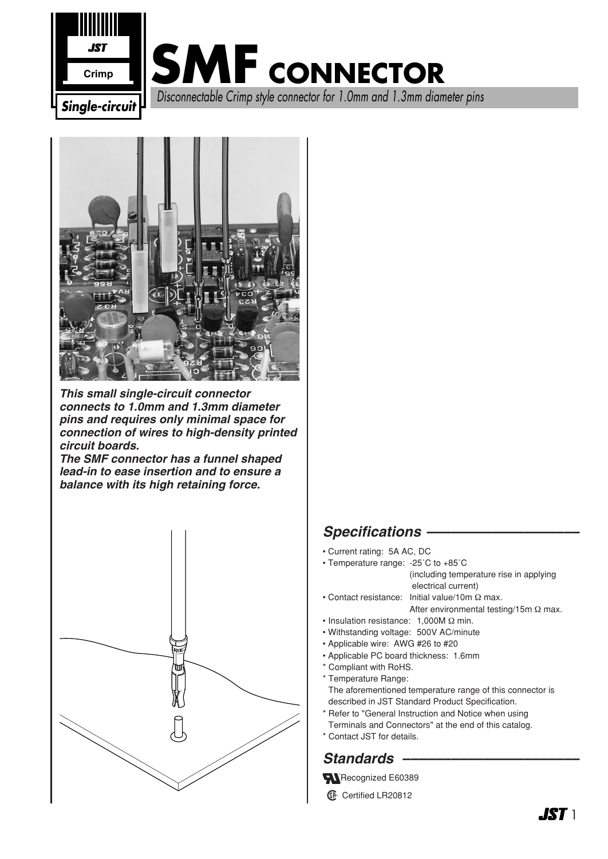



*This small single-circuit connector connects to 1.0mm and 1.3mm diameter pins and requires only minimal space for connection of wires to high-density printed circuit boards.*

*The SMF connector has a funnel shaped lead-in to ease insertion and to ensure a balance with its high retaining force.*



#### *Specifications –––––––––––––––––––*

- Current rating: 5A AC, DC
- Temperature range: -25˚C to +85˚C

(including temperature rise in applying electrical current)

- Contact resistance: Initial value/10m Ω max. After environmental testing/15m Ω max.
- Insulation resistance: 1,000M Ω min.
- Withstanding voltage: 500V AC/minute
- Applicable wire: AWG #26 to #20
- Applicable PC board thickness: 1.6mm
- \* Compliant with RoHS.
- \* Temperature Range: The aforementioned temperature range of this connector is described in JST Standard Product Specification.
- \* Refer to "General Instruction and Notice when using Terminals and Connectors" at the end of this catalog.
- \* Contact JST for details.

### *Standards ––––––––––––––––––––––*

Recognized E60389

**1** Certified LR20812